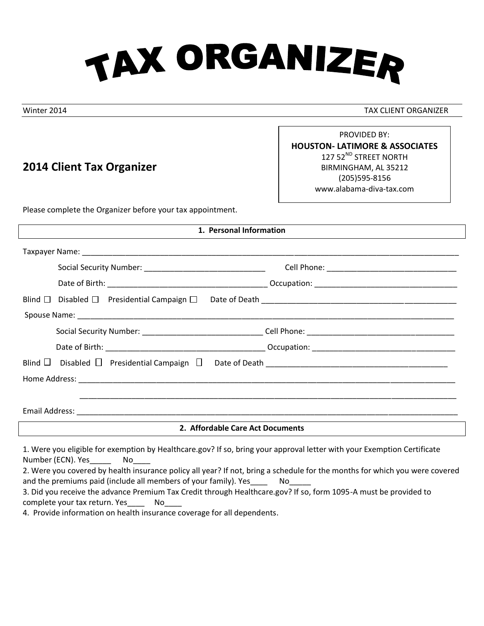

Winter 2014 TAX CLIENT ORGANIZER

# **2014 Client Tax Organizer**

PROVIDED BY: **HOUSTON- LATIMORE & ASSOCIATES** 127 52<sup>ND</sup> STREET NORTH BIRMINGHAM, AL 35212 (205)595-8156 www.alabama-diva-tax.com

Please complete the Organizer before your tax appointment.

|                                                                                                      | 1. Personal Information |  |  |
|------------------------------------------------------------------------------------------------------|-------------------------|--|--|
|                                                                                                      |                         |  |  |
|                                                                                                      |                         |  |  |
|                                                                                                      |                         |  |  |
| Blind $\Box$ Disabled $\Box$ Presidential Campaign $\Box$                                            |                         |  |  |
|                                                                                                      |                         |  |  |
| Social Security Number: _________________________________Cell Phone: _______________________________ |                         |  |  |
|                                                                                                      |                         |  |  |
|                                                                                                      |                         |  |  |
|                                                                                                      |                         |  |  |
|                                                                                                      |                         |  |  |
|                                                                                                      |                         |  |  |
| 2. Affordable Care Act Documents                                                                     |                         |  |  |
|                                                                                                      |                         |  |  |

1. Were you eligible for exemption by Healthcare.gov? If so, bring your approval letter with your Exemption Certificate Number (ECN). Yes\_\_\_\_\_\_\_\_ No\_\_\_\_\_

| 2. Were you covered by health insurance policy all year? If not, bring a schedule for the months for which you were covered |  |
|-----------------------------------------------------------------------------------------------------------------------------|--|
| and the premiums paid (include all members of your family). Yes No                                                          |  |
| 2. Did usu waasiya dha adyaanaa Duqosiyoo Tay Cuadit thusugh Haalthaaya aay 216 aa fayya 4005. A wuxuut ha wuxuudad ta      |  |

3. Did you receive the advance Premium Tax Credit through Healthcare.gov? If so, form 1095-A must be provided to complete your tax return. Yes\_\_\_\_ No\_\_\_\_

4. Provide information on health insurance coverage for all dependents.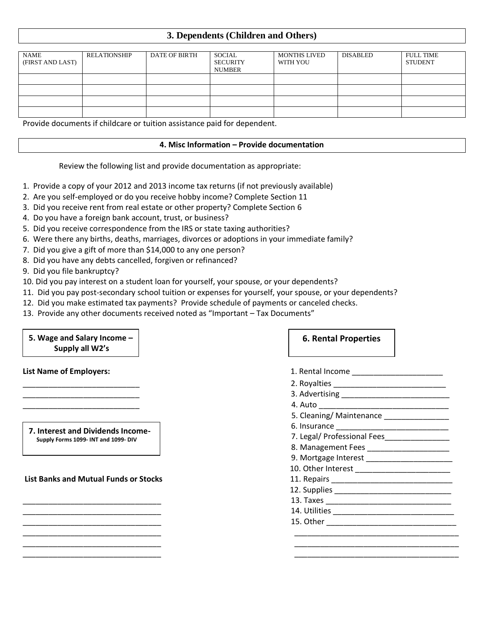# **3. Dependents (Children and Others)**

| <b>NAME</b><br>(FIRST AND LAST) | <b>RELATIONSHIP</b> | DATE OF BIRTH | SOCIAL<br><b>SECURITY</b><br><b>NUMBER</b> | <b>MONTHS LIVED</b><br>WITH YOU | DISABLED | <b>FULL TIME</b><br><b>STUDENT</b> |
|---------------------------------|---------------------|---------------|--------------------------------------------|---------------------------------|----------|------------------------------------|
|                                 |                     |               |                                            |                                 |          |                                    |
|                                 |                     |               |                                            |                                 |          |                                    |
|                                 |                     |               |                                            |                                 |          |                                    |
|                                 |                     |               |                                            |                                 |          |                                    |

Provide documents if childcare or tuition assistance paid for dependent.

#### **4. Misc Information – Provide documentation**

\_\_\_\_\_\_\_\_\_\_\_\_\_\_\_\_\_\_\_\_\_\_\_\_\_\_\_\_\_\_\_\_ \_\_\_\_\_\_\_\_\_\_\_\_\_\_\_\_\_\_\_\_\_\_\_\_\_\_\_\_\_\_\_\_\_\_\_\_\_\_

Review the following list and provide documentation as appropriate:

- 1. Provide a copy of your 2012 and 2013 income tax returns (if not previously available)
- 2. Are you self-employed or do you receive hobby income? Complete Section 11
- 3. Did you receive rent from real estate or other property? Complete Section 6
- 4. Do you have a foreign bank account, trust, or business?
- 5. Did you receive correspondence from the IRS or state taxing authorities?
- 6. Were there any births, deaths, marriages, divorces or adoptions in your immediate family?
- 7. Did you give a gift of more than \$14,000 to any one person?
- 8. Did you have any debts cancelled, forgiven or refinanced?
- 9. Did you file bankruptcy?
- 10. Did you pay interest on a student loan for yourself, your spouse, or your dependents?
- 11. Did you pay post-secondary school tuition or expenses for yourself, your spouse, or your dependents?
- 12. Did you make estimated tax payments? Provide schedule of payments or canceled checks.
- 13. Provide any other documents received noted as "Important Tax Documents"

# **5. Wage and Salary Income – Supply all W2's**

### **List Banks and Mutual Funds or Stocks**

## **6. Rental Properties**

| <b>List Name of Employers:</b>                                          |                                            |
|-------------------------------------------------------------------------|--------------------------------------------|
|                                                                         |                                            |
|                                                                         |                                            |
|                                                                         |                                            |
|                                                                         | 5. Cleaning/Maintenance _______________    |
| 7. Interest and Dividends Income-<br>Supply Forms 1099-INT and 1099-DIV |                                            |
|                                                                         |                                            |
|                                                                         | 8. Management Fees _____________________   |
|                                                                         | 9. Mortgage Interest _____________________ |
|                                                                         |                                            |
| <b>List Banks and Mutual Funds or Stocks</b>                            |                                            |
|                                                                         |                                            |
|                                                                         |                                            |
|                                                                         |                                            |
|                                                                         |                                            |
|                                                                         |                                            |
|                                                                         |                                            |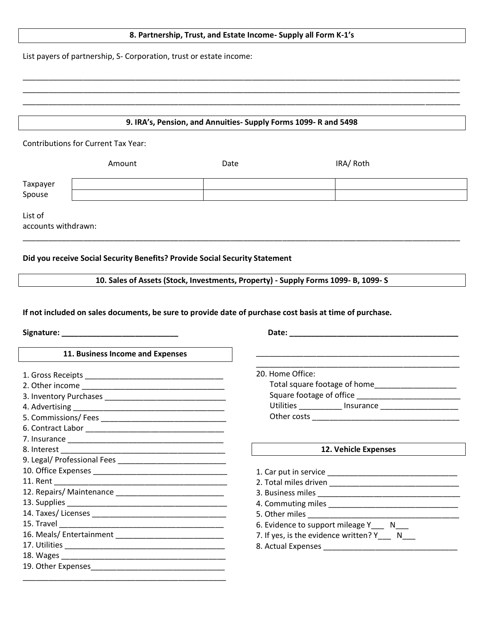### **8. Partnership, Trust, and Estate Income- Supply all Form K-1's**

\_\_\_\_\_\_\_\_\_\_\_\_\_\_\_\_\_\_\_\_\_\_\_\_\_\_\_\_\_\_\_\_\_\_\_\_\_\_\_\_\_\_\_\_\_\_\_\_\_\_\_\_\_\_\_\_\_\_\_\_\_\_\_\_\_\_\_\_\_\_\_\_\_\_\_\_\_\_\_\_\_\_\_\_\_\_\_\_\_\_\_\_\_\_\_\_\_\_\_\_\_ \_\_\_\_\_\_\_\_\_\_\_\_\_\_\_\_\_\_\_\_\_\_\_\_\_\_\_\_\_\_\_\_\_\_\_\_\_\_\_\_\_\_\_\_\_\_\_\_\_\_\_\_\_\_\_\_\_\_\_\_\_\_\_\_\_\_\_\_\_\_\_\_\_\_\_\_\_\_\_\_\_\_\_\_\_\_\_\_\_\_\_\_\_\_\_\_\_\_\_\_\_ \_\_\_\_\_\_\_\_\_\_\_\_\_\_\_\_\_\_\_\_\_\_\_\_\_\_\_\_\_\_\_\_\_\_\_\_\_\_\_\_\_\_\_\_\_\_\_\_\_\_\_\_\_\_\_\_\_\_\_\_\_\_\_\_\_\_\_\_\_\_\_\_\_\_\_\_\_\_\_\_\_\_\_\_\_\_\_\_\_\_\_\_\_\_\_\_\_\_\_\_\_

List payers of partnership, S- Corporation, trust or estate income:

### **9. IRA's, Pension, and Annuities- Supply Forms 1099- R and 5498**

Contributions for Current Tax Year:

|                    | Amount | Date | IRA/ Roth |  |
|--------------------|--------|------|-----------|--|
| Taxpayer<br>Spouse |        |      |           |  |
|                    |        |      |           |  |
|                    |        |      |           |  |

List of

accounts withdrawn:

### **Did you receive Social Security Benefits? Provide Social Security Statement**

**10. Sales of Assets (Stock, Investments, Property) - Supply Forms 1099- B, 1099- S**

\_\_\_\_\_\_\_\_\_\_\_\_\_\_\_\_\_\_\_\_\_\_\_\_\_\_\_\_\_\_\_\_\_\_\_\_\_\_\_\_\_\_\_\_\_\_\_\_\_\_\_\_\_\_\_\_\_\_\_\_\_\_\_\_\_\_\_\_\_\_\_\_\_\_\_\_\_\_\_\_\_\_\_\_\_\_\_\_\_\_\_\_\_\_\_\_\_\_\_\_\_

**If not included on sales documents, be sure to provide date of purchase cost basis at time of purchase.**

**Signature: \_\_\_\_\_\_\_\_\_\_\_\_\_\_\_\_\_\_\_\_\_\_\_\_\_\_\_ Date: \_\_\_\_\_\_\_\_\_\_\_\_\_\_\_\_\_\_\_\_\_\_\_\_\_\_\_\_\_\_\_\_\_\_\_\_\_\_\_**

#### **11. Business Income and Expenses**

| 1. Gross Receipts ____________________________ |
|------------------------------------------------|
|                                                |
|                                                |
|                                                |
|                                                |
|                                                |
|                                                |
|                                                |
|                                                |
|                                                |
|                                                |
|                                                |
|                                                |
|                                                |
|                                                |
|                                                |
|                                                |
|                                                |
|                                                |
|                                                |

| 20. Home Office:             |           |  |
|------------------------------|-----------|--|
| Total square footage of home |           |  |
| Square footage of office     |           |  |
| Utilities                    | Insurance |  |
| Other costs                  |           |  |

#### **12. Vehicle Expenses**

| 2. Total miles driven                   |
|-----------------------------------------|
| 3. Business miles                       |
| 4. Commuting miles <b>Analysis 1999</b> |
| 5. Other miles                          |
| 6. Evidence to support mileage Y N      |
| 7. If yes, is the evidence written? Y   |
| 8. Actual Expenses                      |